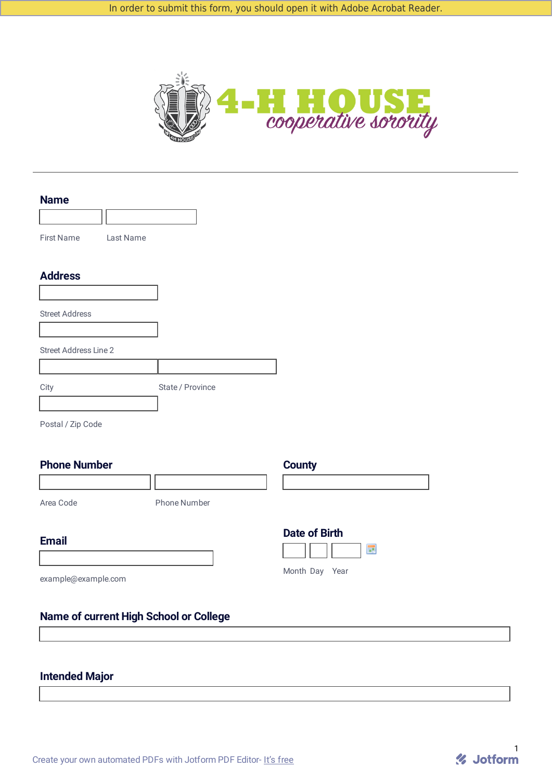

| <b>Name</b>                  |           |                  |  |
|------------------------------|-----------|------------------|--|
| <b>First Name</b>            | Last Name |                  |  |
| <b>Address</b>               |           |                  |  |
|                              |           |                  |  |
| <b>Street Address</b>        |           |                  |  |
| <b>Street Address Line 2</b> |           |                  |  |
|                              |           |                  |  |
| City                         |           | State / Province |  |
|                              |           |                  |  |

Postal / Zip Code

## **Phone Number County**

Area Code Phone Number

#### **Email**

**Date of Birth III** 

Month Day Year

example@example.com

### **Name of current High School or College**

# **Intended Major**

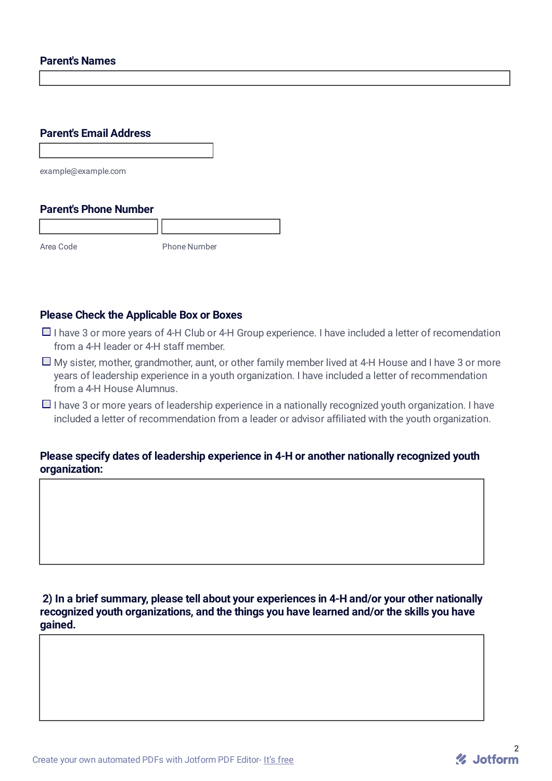#### **Parent's Names**

# **Parent's Email Address**

example@example.com

#### **Parent's Phone Number**

Area Code Phone Number

### **Please Check the Applicable Box or Boxes**

- $\Box$  I have 3 or more vears of 4-H Club or 4-H Group experience. I have included a letter of recomendation from a 4-H leader or 4-H staff member.
- $\Box$  My sister, mother, grandmother, aunt, or other family member lived at 4-H House and I have 3 or more years of leadership experience in a youth organization. I have included a letter of recommendation from a 4-H House Alumnus.
- $\Box$  I have 3 or more vears of leadership experience in a nationally recognized youth organization. I have included a letter of recommendation from a leader or advisor affiliated with the youth organization.

### **Please specify dates of leadership experience in 4-H or another nationally recognized youth organization:**

**2) In a brief summary, please tell about your experiences in 4-H and/or your other nationally recognized youth organizations, and the things you have learned and/or the skills you have gained.**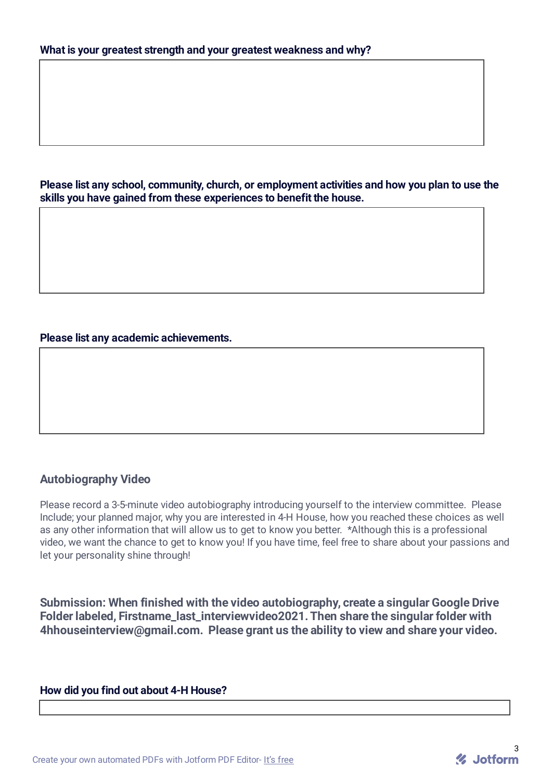**Please list any school, community, church, or employment activities and how you plan to use the skills you have gained from these experiences to benefit the house.**

#### **Please list any academic achievements.**

## **Autobiography Video**

Please record a 3-5-minute video autobiography introducing yourself to the interview committee. Please Include; your planned major, why you are interested in 4-H House, how you reached these choices as well as any other information that will allow us to get to know you better. \*Although this is a professional video, we want the chance to get to know you! If you have time, feel free to share about your passions and let your personality shine through!

**Submission: When finished with the video autobiography, create a singular Google Drive Folder labeled, Firstname\_last\_interviewvideo2021.Then share the singular folder with 4hhouseinterview@gmail.com. Please grant us the ability to view and share your video.**

#### **How did you find out about 4-H House?**